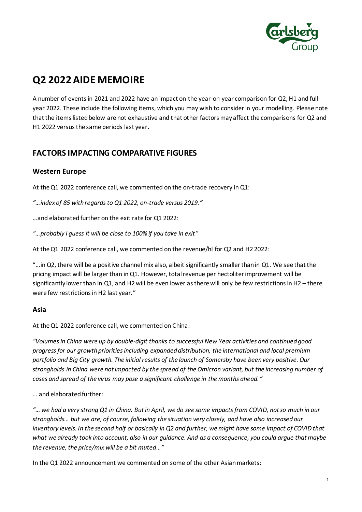

# **Q2 2022AIDE MEMOIRE**

A number of events in 2021 and 2022 have an impact on the year-on-year comparison for Q2, H1 and fullyear 2022. These include the following items, which you may wish to consider in your modelling. Please note that the items listed below are not exhaustive and that other factors may affect the comparisons for Q2 and H1 2022 versus the same periods last year.

# **FACTORS IMPACTING COMPARATIVE FIGURES**

### **Western Europe**

At the Q1 2022 conference call, we commented on the on-trade recovery in Q1:

*"…index of 85 with regards to Q1 2022, on-trade versus 2019."*

…and elaborated further on the exit rate for Q1 2022:

*"…probably I guess it will be close to 100% if you take in exit"* 

At the Q1 2022 conference call, we commented on the revenue/hl for Q2 and H2 2022:

"…in Q2, there will be a positive channel mix also, albeit significantly smaller than in Q1. We see that the pricing impact will be larger than in Q1. However, total revenue per hectoliter improvement will be significantly lower than in Q1, and H2 will be even lower as there will only be few restrictions in H2 – there were few restrictions in H2 last year."

#### **Asia**

At the Q1 2022 conference call, we commented on China:

*"Volumes in China were up by double-digit thanks to successful New Year activities and continued good progress for our growth priorities including expanded distribution, the international and local premium portfolio and Big City growth. The initial results of the launch of Somersby have been very positive. Our strongholds in China were not impacted by the spread of the Omicron variant, but the increasing number of cases and spread of the virus may pose a significant challenge in the months ahead."* 

#### … and elaborated further:

*"… we had a very strong Q1 in China. But in April, we do see some impacts from COVID, not so much in our strongholds… but we are, of course, following the situation very closely, and have also increased our inventory levels. In the second half or basically in Q2 and further, we might have some impact of COVID that what we already took into account, also in our guidance. And as a consequence, you could argue that maybe the revenue, the price/mix will be a bit muted…"*

In the Q1 2022 announcement we commented on some of the other Asian markets: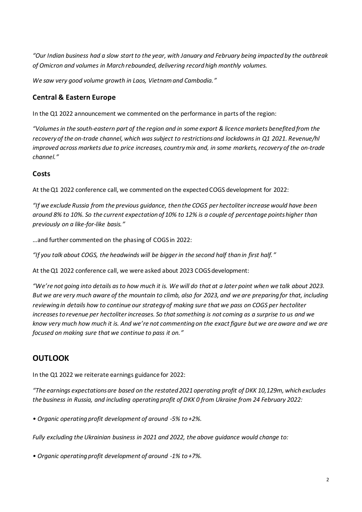*"Our Indian business had a slow start to the year, with January and February being impacted by the outbreak of Omicron and volumes in March rebounded, delivering record high monthly volumes.*

*We saw very good volume growth in Laos, Vietnam and Cambodia."*

## **Central & Eastern Europe**

In the Q1 2022 announcement we commented on the performance in parts of the region:

*"Volumes in the south-eastern part of the region and in some export & licence markets benefited from the recovery of the on-trade channel, which was subject to restrictions and lockdowns in Q1 2021. Revenue/hl improved across markets due to price increases, country mix and, in some markets, recovery of the on-trade channel."*

### **Costs**

At the Q1 2022 conference call, we commented on the expected COGS development for 2022:

*"If we exclude Russia from the previous guidance, then the COGS per hectoliter increase would have been around 8% to 10%. So the current expectation of 10% to 12% is a couple of percentage points higher than previously on a like-for-like basis."*

…and further commented on the phasing of COGS in 2022:

*"If you talk about COGS, the headwinds will be bigger in the second half than in first half."*

At the Q1 2022 conference call, we were asked about 2023 COGSdevelopment:

*"We're not going into details as to how much it is. We will do that at a later point when we talk about 2023. But we are very much aware of the mountain to climb, also for 2023, and we are preparing for that, including reviewing in details how to continue our strategy of making sure that we pass on COGS per hectoliter increases to revenue per hectoliter increases. So that something is not coming as a surprise to us and we know very much how much it is. And we're not commenting on the exact figure but we are aware and we are focused on making sure that we continue to pass it on."*

# **OUTLOOK**

In the Q1 2022 we reiterate earnings guidance for 2022:

*"The earnings expectations are based on the restated 2021 operating profit of DKK 10,129m, which excludes the business in Russia, and including operating profit of DKK 0 from Ukraine from 24 February 2022:*

*• Organic operating profit development of around -5% to +2%.*

*Fully excluding the Ukrainian business in 2021 and 2022, the above guidance would change to:*

*• Organic operating profit development of around -1% to +7%.*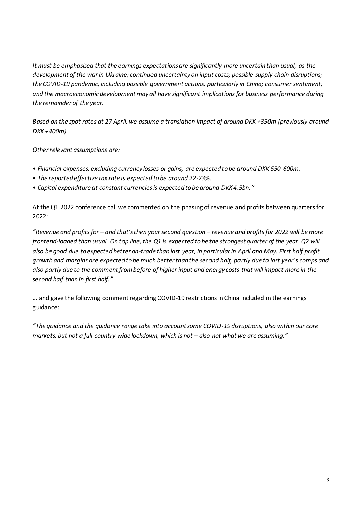*It must be emphasised that the earnings expectations are significantly more uncertain than usual, as the development of the war in Ukraine; continued uncertainty on input costs; possible supply chain disruptions; the COVID-19 pandemic, including possible government actions, particularly in China; consumer sentiment; and the macroeconomic development may all have significant implications for business performance during the remainder of the year.*

*Based on the spot rates at 27 April, we assume a translation impact of around DKK +350m (previously around DKK +400m).*

*Other relevant assumptions are:*

- *Financial expenses, excluding currency losses or gains, are expected to be around DKK 550-600m.*
- *The reported effective tax rate is expected to be around 22-23%.*
- *Capital expenditure at constant currencies is expected to be around DKK 4.5bn."*

At the Q1 2022 conference call we commented on the phasing of revenue and profits between quarters for 2022:

*"Revenue and profits for – and that's then your second question − revenue and profits for 2022 will be more frontend-loaded than usual. On top line, the Q1 is expected to be the strongest quarter of the year. Q2 will also be good due to expected better on-trade than last year, in particular in April and May. First half profit growth and margins are expected to be much better than the second half, partly due to last year's comps and also partly due to the comment from before of higher input and energy costs that will impact more in the second half than in first half."*

… and gave the following comment regarding COVID-19 restrictions in China included in the earnings guidance:

*"The guidance and the guidance range take into account some COVID-19 disruptions, also within our core markets, but not a full country-wide lockdown, which is not – also not what we are assuming."*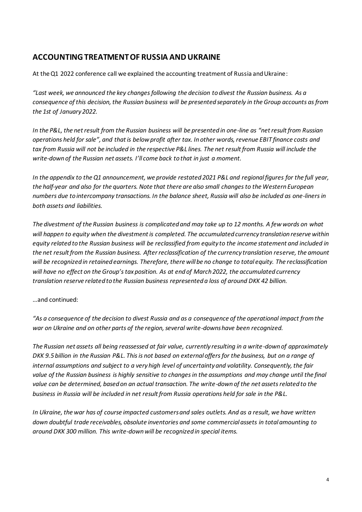## **ACCOUNTING TREATMENT OF RUSSIA AND UKRAINE**

At the Q1 2022 conference call we explained the accounting treatment of Russia and Ukraine:

*"Last week, we announced the key changes following the decision to divest the Russian business. As a consequence of this decision, the Russian business will be presented separately in the Group accounts as from the 1st of January 2022.* 

*In the P&L, the net result from the Russian business will be presented in one-line as "net result from Russian operations held for sale", and that is below profit after tax. In other words, revenue EBIT finance costs and tax from Russia will not be included in the respective P&L lines. The net result from Russia will include the write-down of the Russian net assets. I'll come back to that in just a moment.* 

*In the appendix to the Q1 announcement, we provide restated 2021 P&L and regional figures for the full year, the half-year and also for the quarters. Note that there are also small changes to the Western European numbers due to intercompany transactions. In the balance sheet, Russia will also be included as one-liners in both assets and liabilities.* 

*The divestment of the Russian business is complicated and may take up to 12 months. A few words on what will happen to equity when the divestment is completed. The accumulated currency translation reserve within equity related to the Russian business will be reclassified from equity to the income statement and included in the net result from the Russian business. After reclassification of the currency translation reserve, the amount will be recognized in retained earnings. Therefore, there will be no change to total equity. The reclassification will have no effect on the Group's tax position. As at end of March 2022, the accumulated currency translation reserve related to the Russian business represented a loss of around DKK 42 billion.* 

#### …and continued:

*"As a consequence of the decision to divest Russia and as a consequence of the operational impact from the war on Ukraine and on other parts of the region, several write-downs have been recognized.* 

*The Russian net assets all being reassessed at fair value, currently resulting in a write-down of approximately DKK 9.5 billion in the Russian P&L. This is not based on external offers for the business, but on a range of internal assumptions and subject to a very high level of uncertainty and volatility. Consequently, the fair*  value of the Russian business is highly sensitive to changes in the assumptions and may change until the final *value can be determined, based on an actual transaction. The write-down of the net assets related to the business in Russia will be included in net result from Russia operations held for sale in the P&L.* 

*In Ukraine, the war has of course impacted customers and sales outlets. And as a result, we have written down doubtful trade receivables, obsolute inventories and some commercial assets in total amounting to around DKK 300 million. This write-down will be recognized in special items.*